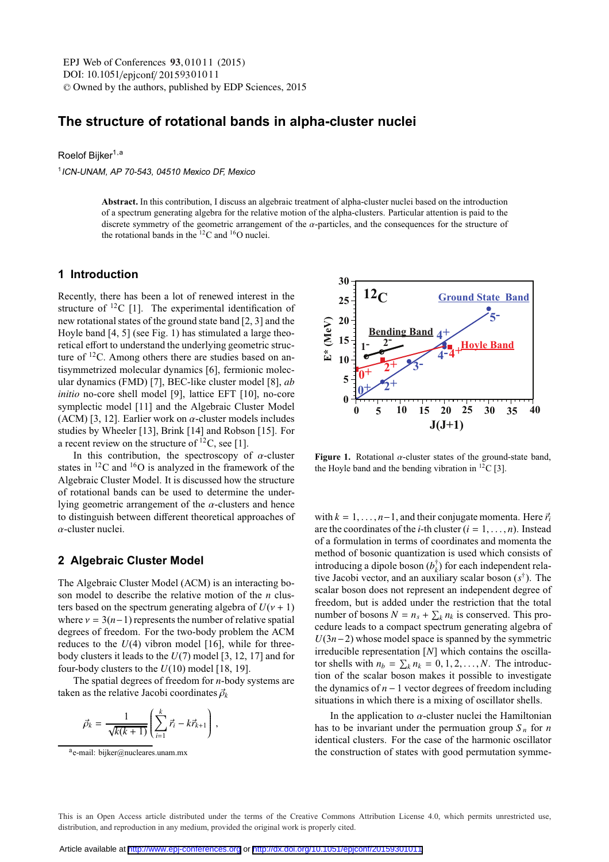DOI: 10.1051/epjconf/ 20159301011 -<sup>C</sup> Owned by the authors, published by EDP Sciences, 2015 EPJ Web of Conferences 93,01011 (2015)

# **The structure of rotational bands in alpha-cluster nuclei**

Roelof Bijker<sup>1,a</sup>

<sup>1</sup>ICN-UNAM, AP 70-543, <sup>04510</sup> Mexico DF, Mexico

**Abstract.** In this contribution, I discuss an algebraic treatment of alpha-cluster nuclei based on the introduction of a spectrum generating algebra for the relative motion of the alpha-clusters. Particular attention is paid to the discrete symmetry of the geometric arrangement of the  $\alpha$ -particles, and the consequences for the structure of the rotational bands in the  ${}^{12}$ C and  ${}^{16}$ O nuclei.

#### **1 Introduction**

Recently, there has been a lot of renewed interest in the structure of  ${}^{12}C$  [1]. The experimental identification of new rotational states of the ground state band [2, 3] and the Hoyle band [4, 5] (see Fig. 1) has stimulated a large theoretical effort to understand the underlying geometric structure of  $12$ C. Among others there are studies based on antisymmetrized molecular dynamics [6], fermionic molecular dynamics (FMD) [7], BEC-like cluster model [8], *ab initio* no-core shell model [9], lattice EFT [10], no-core symplectic model [11] and the Algebraic Cluster Model (ACM) [3, 12]. Earlier work on  $\alpha$ -cluster models includes studies by Wheeler [13], Brink [14] and Robson [15]. For a recent review on the structure of  ${}^{12}C$ , see [1].

In this contribution, the spectroscopy of  $\alpha$ -cluster states in  ${}^{12}$ C and  ${}^{16}$ O is analyzed in the framework of the Algebraic Cluster Model. It is discussed how the structure of rotational bands can be used to determine the underlying geometric arrangement of the  $\alpha$ -clusters and hence to distinguish between different theoretical approaches of  $\alpha$ -cluster nuclei.

#### **2 Algebraic Cluster Model**

The Algebraic Cluster Model (ACM) is an interacting boson model to describe the relative motion of the *n* clusters based on the spectrum generating algebra of  $U(\nu + 1)$ where  $v = 3(n-1)$  represents the number of relative spatial degrees of freedom. For the two-body problem the ACM reduces to the  $U(4)$  vibron model [16], while for threebody clusters it leads to the *U*(7) model [3, 12, 17] and for four-body clusters to the *U*(10) model [18, 19].

The spatial degrees of freedom for *n*-body systems are taken as the relative Jacobi coordinates  $\vec{\rho}_k$ 

$$
\vec{\rho}_k = \frac{1}{\sqrt{k(k+1)}} \left( \sum_{i=1}^k \vec{r}_i - k \vec{r}_{k+1} \right) \,,
$$



**Figure 1.** Rotational  $\alpha$ -cluster states of the ground-state band, the Hoyle band and the bending vibration in  ${}^{12}C$  [3].

with  $k = 1, \ldots, n-1$ , and their conjugate momenta. Here  $\vec{r_i}$ are the coordinates of the *i*-th cluster  $(i = 1, ..., n)$ . Instead of a formulation in terms of coordinates and momenta the method of bosonic quantization is used which consists of introducing a dipole boson  $(b_k^{\dagger})$  for each independent relative Jacobi vector, and an auxiliary scalar boson (*s*†). The scalar boson does not represent an independent degree of freedom, but is added under the restriction that the total number of bosons  $N = n_s + \sum_k n_k$  is conserved. This procedure leads to a compact spectrum generating algebra of *U*(3*n*−2) whose model space is spanned by the symmetric irreducible representation [*N*] which contains the oscillator shells with  $n_b = \sum_k n_k = 0, 1, 2, ..., N$ . The introduction of the scalar boson makes it possible to investigate the dynamics of *n* − 1 vector degrees of freedom including situations in which there is a mixing of oscillator shells.

In the application to  $\alpha$ -cluster nuclei the Hamiltonian has to be invariant under the permuation group  $S_n$  for *n* identical clusters. For the case of the harmonic oscillator the construction of states with good permutation symme-

This is an Open Access article distributed under the terms of the Creative Commons Attribution License 4.0, which permits unrestricted use. distribution, and reproduction in any medium, provided the original work is properly cited.

 $a$ e-mail: bijker@nucleares.unam.mx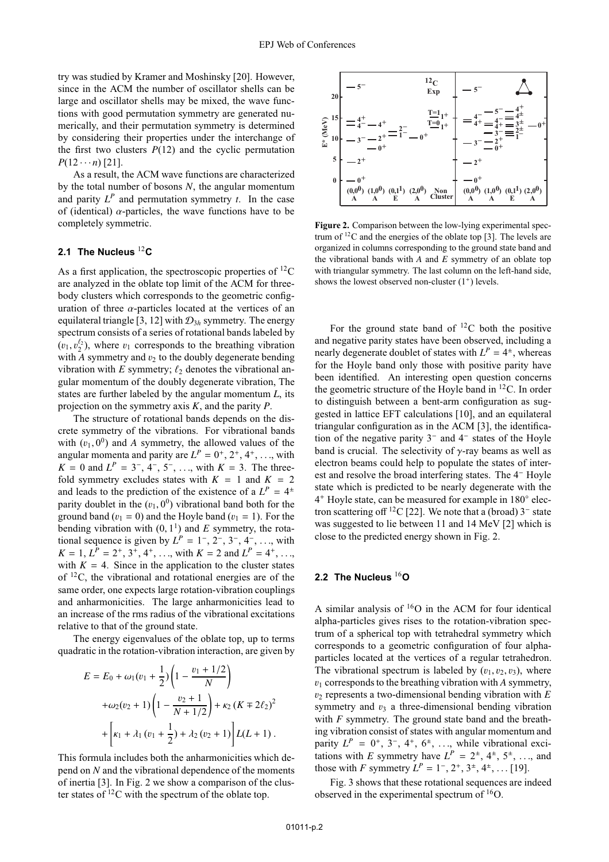try was studied by Kramer and Moshinsky [20]. However, since in the ACM the number of oscillator shells can be large and oscillator shells may be mixed, the wave functions with good permutation symmetry are generated numerically, and their permutation symmetry is determined by considering their properties under the interchange of the first two clusters  $P(12)$  and the cyclic permutation  $P(12 \cdots n)$  [21].

As a result, the ACM wave functions are characterized by the total number of bosons *N*, the angular momentum and parity  $L^P$  and permutation symmetry  $t$ . In the case of (identical)  $\alpha$ -particles, the wave functions have to be completely symmetric.

# **2.1 The Nucleus** <sup>12</sup>**C**

As a first application, the spectroscopic properties of  ${}^{12}C$ are analyzed in the oblate top limit of the ACM for threebody clusters which corresponds to the geometric configuration of three  $\alpha$ -particles located at the vertices of an equilateral triangle [3, 12] with  $\mathcal{D}_{3h}$  symmetry. The energy spectrum consists of a series of rotational bands labeled by  $(v_1, v_2^{\ell_2})$ , where  $v_1$  corresponds to the breathing vibration with  $\overline{A}$  symmetry and  $v_2$  to the doubly degenerate bending vibration with  $E$  symmetry;  $\ell_2$  denotes the vibrational angular momentum of the doubly degenerate vibration, The states are further labeled by the angular momentum *L*, its projection on the symmetry axis *K*, and the parity *P*.

The structure of rotational bands depends on the discrete symmetry of the vibrations. For vibrational bands with  $(v_1, 0^0)$  and *A* symmetry, the allowed values of the angular momenta and parity are  $L^P = 0^+, 2^+, 4^+, \ldots$ , with  $K = 0$  and  $L^P = 3^{-}$ ,  $4^{-}$ ,  $5^{-}$ , ..., with  $K = 3$ . The threefold symmetry excludes states with  $K = 1$  and  $K = 2$ and leads to the prediction of the existence of a  $L^P = 4^{\pm}$ parity doublet in the  $(v_1, 0^0)$  vibrational band both for the ground band ( $v_1 = 0$ ) and the Hoyle band ( $v_1 = 1$ ). For the bending vibration with  $(0, 1^1)$  and *E* symmetry, the rotational sequence is given by  $L^P = 1^-, 2^-, 3^-, 4^-, ...$ , with  $K = 1, L^P = 2^+, 3^+, 4^+, \ldots$ , with  $K = 2$  and  $L^P = 4^+, \ldots$ , with  $K = 4$ . Since in the application to the cluster states of 12C, the vibrational and rotational energies are of the same order, one expects large rotation-vibration couplings and anharmonicities. The large anharmonicities lead to an increase of the rms radius of the vibrational excitations relative to that of the ground state.

The energy eigenvalues of the oblate top, up to terms quadratic in the rotation-vibration interaction, are given by

$$
E = E_0 + \omega_1 (v_1 + \frac{1}{2}) \left( 1 - \frac{v_1 + 1/2}{N} \right)
$$
  
+  $\omega_2 (v_2 + 1) \left( 1 - \frac{v_2 + 1}{N + 1/2} \right) + \kappa_2 (K \mp 2\ell_2)^2$   
+  $\left[ \kappa_1 + \lambda_1 (v_1 + \frac{1}{2}) + \lambda_2 (v_2 + 1) \right] L(L + 1).$ 

This formula includes both the anharmonicities which depend on *N* and the vibrational dependence of the moments of inertia [3]. In Fig. 2 we show a comparison of the cluster states of  $^{12}$ C with the spectrum of the oblate top.



**Figure 2.** Comparison between the low-lying experimental spectrum of  ${}^{12}C$  and the energies of the oblate top [3]. The levels are organized in columns corresponding to the ground state band and the vibrational bands with *A* and *E* symmetry of an oblate top with triangular symmetry. The last column on the left-hand side, shows the lowest observed non-cluster  $(1^+)$  levels.

For the ground state band of  $^{12}$ C both the positive and negative parity states have been observed, including a nearly degenerate doublet of states with  $L^P = 4^{\pm}$ , whereas for the Hoyle band only those with positive parity have been identified. An interesting open question concerns the geometric structure of the Hoyle band in  ${}^{12}C$ . In order to distinguish between a bent-arm configuration as suggested in lattice EFT calculations [10], and an equilateral triangular configuration as in the ACM [3], the identification of the negative parity 3<sup>−</sup> and 4<sup>−</sup> states of the Hoyle band is crucial. The selectivity of  $\gamma$ -ray beams as well as electron beams could help to populate the states of interest and resolve the broad interfering states. The 4<sup>−</sup> Hoyle state which is predicted to be nearly degenerate with the 4<sup>+</sup> Hoyle state, can be measured for example in 180◦ electron scattering off <sup>12</sup>C [22]. We note that a (broad)  $3<sup>-</sup>$  state was suggested to lie between 11 and 14 MeV [2] which is close to the predicted energy shown in Fig. 2.

# **2.2 The Nucleus** <sup>16</sup>**O**

A similar analysis of  ${}^{16}O$  in the ACM for four identical alpha-particles gives rises to the rotation-vibration spectrum of a spherical top with tetrahedral symmetry which corresponds to a geometric configuration of four alphaparticles located at the vertices of a regular tetrahedron. The vibrational spectrum is labeled by  $(v_1, v_2, v_3)$ , where  $v_1$  corresponds to the breathing vibration with *A* symmetry,  $v_2$  represents a two-dimensional bending vibration with  $E$ symmetry and  $v_3$  a three-dimensional bending vibration with *F* symmetry. The ground state band and the breathing vibration consist of states with angular momentum and parity  $L^P = 0^+, 3^-, 4^+, 6^+, \ldots$ , while vibrational excitations with *E* symmetry have  $L^P = 2^{\pm}, 4^{\pm}, 5^{\pm}, \ldots$ , and those with *F* symmetry  $L^P = 1^-, 2^+, 3^{\pm}, 4^{\pm}, \dots$  [19].

Fig. 3 shows that these rotational sequences are indeed observed in the experimental spectrum of  $^{16}O$ .